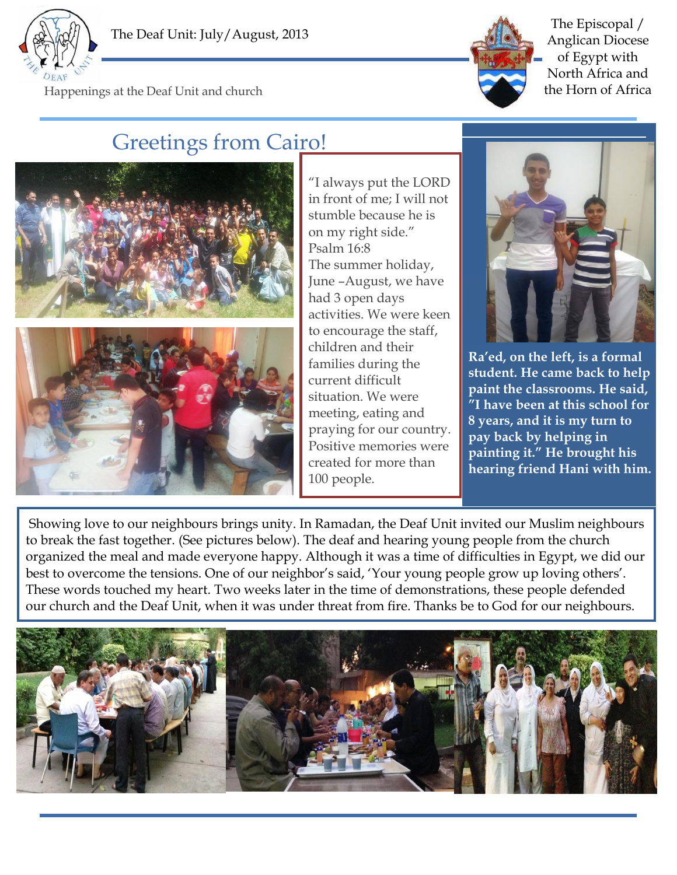



The Episcopal / Anglican Diocese of Egypt with North Africa and Happenings at the Deaf Unit and church the Horn of Africa

## Greetings from Cairo!



"I always put the LORD in front of me; I will not stumble because he is on my right side." Psalm 16:8 The summer holiday, June –August, we have had 3 open days activities. We were keen to encourage the staff, children and their families during the current difficult situation. We were meeting, eating and praying for our country. Positive memories were created for more than 100 people.



**Ra'ed, on the left, is a formal student. He came back to help paint the classrooms. He said, "I have been at this school for 8 years, and it is my turn to pay back by helping in painting it." He brought his hearing friend Hani with him.**

Showing love to our neighbours brings unity. In Ramadan, the Deaf Unit invited our Muslim neighbours to break the fast together. (See pictures below). The deaf and hearing young people from the church organized the meal and made everyone happy. Although it was a time of difficulties in Egypt, we did our best to overcome the tensions. One of our neighbor's said, 'Your young people grow up loving others'. These words touched my heart. Two weeks later in the time of demonstrations, these people defended our church and the Deaf Unit, when it was under threat from fire. Thanks be to God for our neighbours.